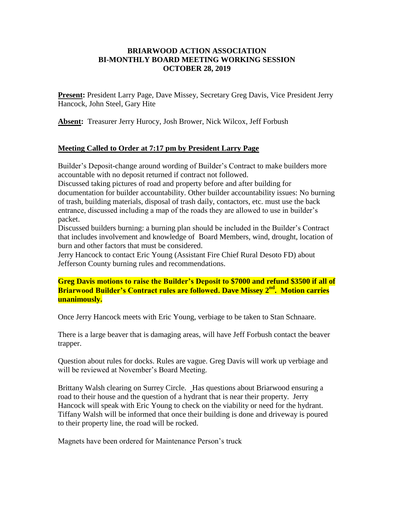## **BRIARWOOD ACTION ASSOCIATION BI-MONTHLY BOARD MEETING WORKING SESSION OCTOBER 28, 2019**

**Present:** President Larry Page, Dave Missey, Secretary Greg Davis, Vice President Jerry Hancock, John Steel, Gary Hite

**Absent:** Treasurer Jerry Hurocy, Josh Brower, Nick Wilcox, Jeff Forbush

## **Meeting Called to Order at 7:17 pm by President Larry Page**

Builder's Deposit-change around wording of Builder's Contract to make builders more accountable with no deposit returned if contract not followed.

Discussed taking pictures of road and property before and after building for documentation for builder accountability. Other builder accountability issues: No burning of trash, building materials, disposal of trash daily, contactors, etc. must use the back entrance, discussed including a map of the roads they are allowed to use in builder's packet.

Discussed builders burning: a burning plan should be included in the Builder's Contract that includes involvement and knowledge of Board Members, wind, drought, location of burn and other factors that must be considered.

Jerry Hancock to contact Eric Young (Assistant Fire Chief Rural Desoto FD) about Jefferson County burning rules and recommendations.

**Greg Davis motions to raise the Builder's Deposit to \$7000 and refund \$3500 if all of Briarwood Builder's Contract rules are followed. Dave Missey 2nd. Motion carries unanimously.**

Once Jerry Hancock meets with Eric Young, verbiage to be taken to Stan Schnaare.

There is a large beaver that is damaging areas, will have Jeff Forbush contact the beaver trapper.

Question about rules for docks. Rules are vague. Greg Davis will work up verbiage and will be reviewed at November's Board Meeting.

Brittany Walsh clearing on Surrey Circle. Has questions about Briarwood ensuring a road to their house and the question of a hydrant that is near their property. Jerry Hancock will speak with Eric Young to check on the viability or need for the hydrant. Tiffany Walsh will be informed that once their building is done and driveway is poured to their property line, the road will be rocked.

Magnets have been ordered for Maintenance Person's truck